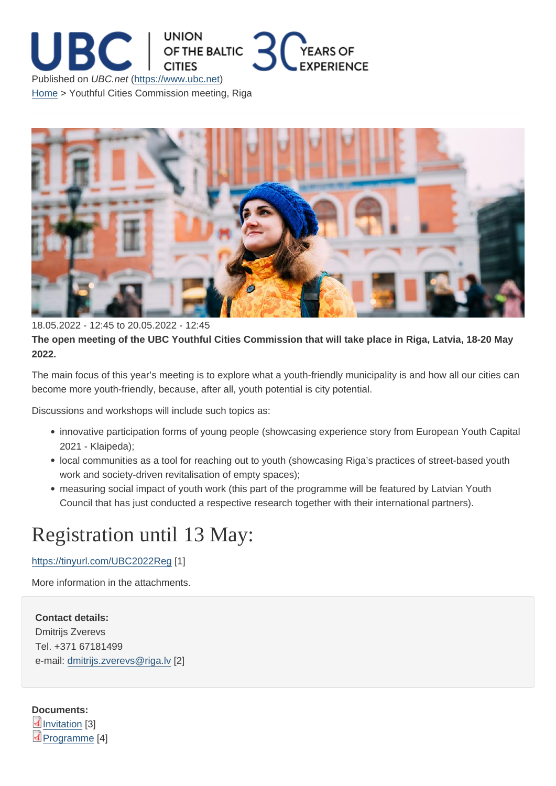18.05.2022 - 12:45 to 20.05.2022 - 12:45

The open meeting of the UBC Youthful Cities Commission that will take place in Riga, Latvia, 18-20 May 2022.

The main focus of this year's meeting is to explore what a youth-friendly municipality is and how all our cities can become more youth-friendly, because, after all, youth potential is city potential.

Discussions and workshops will include such topics as:

- innovative participation forms of young people (showcasing experience story from European Youth Capital 2021 - Klaipeda);
- local communities as a tool for reaching out to youth (showcasing Riga's practices of street-based youth work and society-driven revitalisation of empty spaces);
- measuring social impact of youth work (this part of the programme will be featured by Latvian Youth Council that has just conducted a respective research together with their international partners).

## Registration until 13 May:

## https://tinyurl.com/UBC2022Reg [1]

More information in the attachments.

Contact details: Dmitrijs Zverevs Tel. +371 67181499 e-mail: dmitrijs.zverevs@riga.lv [2]

Docum[ents:](mailto:dmitrijs.zverevs@riga.lv)  Invitation [3] Programme [4]